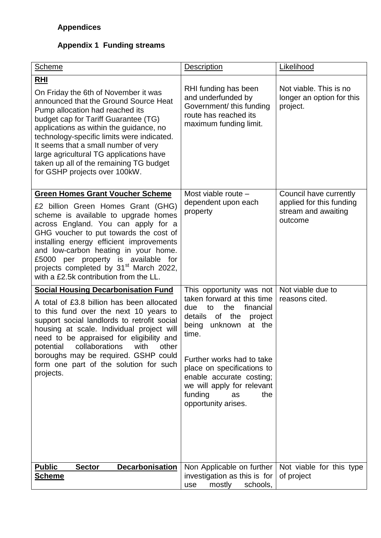## **Appendix 1 Funding streams**

| <b>Scheme</b>                                                                                                                                                                                                                                                                                                                                                                                                                     | <b>Description</b>                                                                                                                                                                                                                                                                                                              | Likelihood                                                                           |
|-----------------------------------------------------------------------------------------------------------------------------------------------------------------------------------------------------------------------------------------------------------------------------------------------------------------------------------------------------------------------------------------------------------------------------------|---------------------------------------------------------------------------------------------------------------------------------------------------------------------------------------------------------------------------------------------------------------------------------------------------------------------------------|--------------------------------------------------------------------------------------|
| <u>RHI</u><br>On Friday the 6th of November it was<br>announced that the Ground Source Heat<br>Pump allocation had reached its<br>budget cap for Tariff Guarantee (TG)<br>applications as within the guidance, no<br>technology-specific limits were indicated.<br>It seems that a small number of very<br>large agricultural TG applications have<br>taken up all of the remaining TG budget<br>for GSHP projects over 100kW.    | RHI funding has been<br>and underfunded by<br>Government/ this funding<br>route has reached its<br>maximum funding limit.                                                                                                                                                                                                       | Not viable. This is no<br>longer an option for this<br>project.                      |
| <b>Green Homes Grant Voucher Scheme</b><br>£2 billion Green Homes Grant (GHG)<br>scheme is available to upgrade homes<br>across England. You can apply for a<br>GHG voucher to put towards the cost of<br>installing energy efficient improvements<br>and low-carbon heating in your home.<br>£5000 per property is available for<br>projects completed by 31 <sup>st</sup> March 2022,<br>with a £2.5k contribution from the LL. | Most viable route -<br>dependent upon each<br>property                                                                                                                                                                                                                                                                          | Council have currently<br>applied for this funding<br>stream and awaiting<br>outcome |
| <b>Social Housing Decarbonisation Fund</b><br>A total of £3.8 billion has been allocated<br>to this fund over the next 10 years to<br>support social landlords to retrofit social<br>housing at scale. Individual project will<br>need to be appraised for eligibility and<br>potential collaborations with other<br>boroughs may be required. GSHP could<br>form one part of the solution for such<br>projects.                  | This opportunity was not<br>taken forward at this time<br>the<br>financial<br>due<br>to<br>of the project<br>details<br>being<br>unknown<br>at the<br>time.<br>Further works had to take<br>place on specifications to<br>enable accurate costing;<br>we will apply for relevant<br>funding<br>the<br>as<br>opportunity arises. | Not viable due to<br>reasons cited.                                                  |
| <b>Public</b><br><b>Decarbonisation</b><br><b>Sector</b><br><b>Scheme</b>                                                                                                                                                                                                                                                                                                                                                         | Non Applicable on further<br>investigation as this is for<br>schools,<br>mostly<br>use                                                                                                                                                                                                                                          | Not viable for this type<br>of project                                               |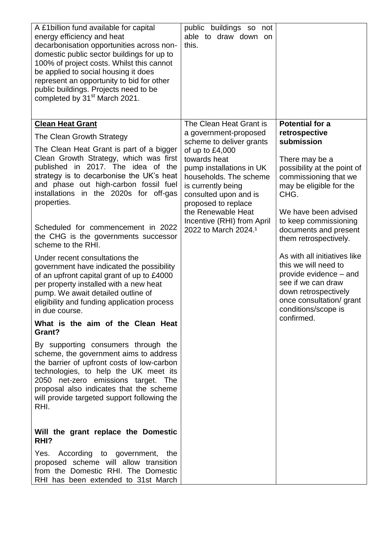| A £1 billion fund available for capital<br>energy efficiency and heat<br>decarbonisation opportunities across non-<br>domestic public sector buildings for up to<br>100% of project costs. Whilst this cannot<br>be applied to social housing it does<br>represent an opportunity to bid for other<br>public buildings. Projects need to be<br>completed by 31 <sup>st</sup> March 2021. | public buildings so not<br>able to draw down on<br>this.                                                                                                                          |                                                                                                                                                                                 |
|------------------------------------------------------------------------------------------------------------------------------------------------------------------------------------------------------------------------------------------------------------------------------------------------------------------------------------------------------------------------------------------|-----------------------------------------------------------------------------------------------------------------------------------------------------------------------------------|---------------------------------------------------------------------------------------------------------------------------------------------------------------------------------|
| <b>Clean Heat Grant</b>                                                                                                                                                                                                                                                                                                                                                                  | The Clean Heat Grant is                                                                                                                                                           | <b>Potential for a</b>                                                                                                                                                          |
| The Clean Growth Strategy                                                                                                                                                                                                                                                                                                                                                                | a government-proposed<br>scheme to deliver grants                                                                                                                                 | retrospective<br>submission                                                                                                                                                     |
| The Clean Heat Grant is part of a bigger<br>Clean Growth Strategy, which was first<br>published in 2017. The idea of the<br>strategy is to decarbonise the UK's heat<br>and phase out high-carbon fossil fuel<br>installations in the 2020s for off-gas<br>properties.                                                                                                                   | of up to £4,000<br>towards heat<br>pump installations in UK<br>households. The scheme<br>is currently being<br>consulted upon and is<br>proposed to replace<br>the Renewable Heat | There may be a<br>possibility at the point of<br>commissioning that we<br>may be eligible for the<br>CHG.<br>We have been advised                                               |
| Scheduled for commencement in 2022<br>the CHG is the governments successor<br>scheme to the RHI.                                                                                                                                                                                                                                                                                         | Incentive (RHI) from April<br>2022 to March 2024. <sup>1</sup>                                                                                                                    | to keep commissioning<br>documents and present<br>them retrospectively.                                                                                                         |
| Under recent consultations the<br>government have indicated the possibility<br>of an upfront capital grant of up to £4000<br>per property installed with a new heat<br>pump. We await detailed outline of<br>eligibility and funding application process<br>in due course.                                                                                                               |                                                                                                                                                                                   | As with all initiatives like<br>this we will need to<br>provide evidence - and<br>see if we can draw<br>down retrospectively<br>once consultation/ grant<br>conditions/scope is |
| What is the aim of the Clean Heat<br>Grant?                                                                                                                                                                                                                                                                                                                                              |                                                                                                                                                                                   | confirmed.                                                                                                                                                                      |
| By supporting consumers through the<br>scheme, the government aims to address<br>the barrier of upfront costs of low-carbon<br>technologies, to help the UK meet its<br>2050 net-zero emissions target. The<br>proposal also indicates that the scheme<br>will provide targeted support following the<br>RHI.                                                                            |                                                                                                                                                                                   |                                                                                                                                                                                 |
| Will the grant replace the Domestic<br>RHI?                                                                                                                                                                                                                                                                                                                                              |                                                                                                                                                                                   |                                                                                                                                                                                 |
| Yes. According to government, the<br>proposed scheme will allow transition<br>from the Domestic RHI. The Domestic<br>RHI has been extended to 31st March                                                                                                                                                                                                                                 |                                                                                                                                                                                   |                                                                                                                                                                                 |